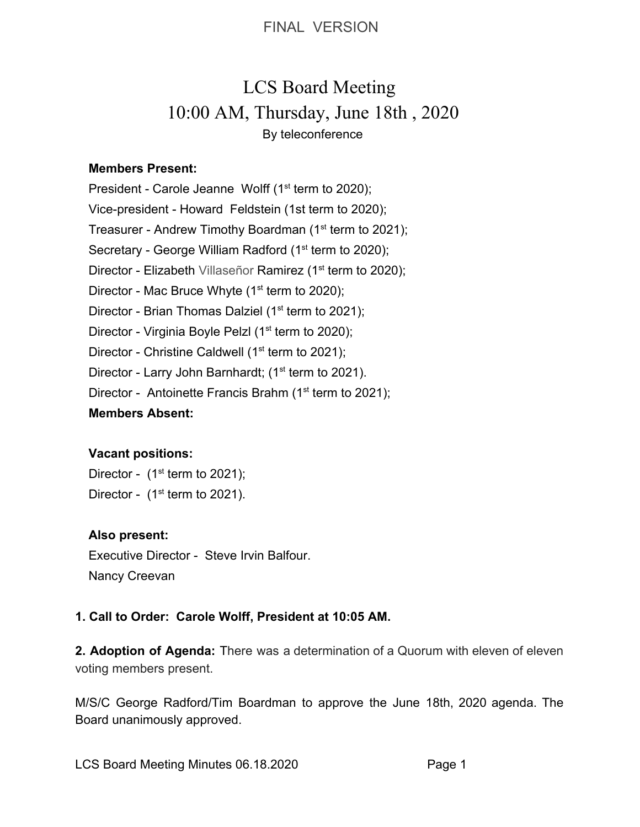# LCS Board Meeting 10:00 AM, Thursday, June 18th , 2020 By teleconference

#### **Members Present:**

President - Carole Jeanne Wolff  $(1<sup>st</sup>$  term to 2020); Vice-president - Howard Feldstein (1st term to 2020); Treasurer - Andrew Timothy Boardman (1<sup>st</sup> term to 2021); Secretary - George William Radford (1<sup>st</sup> term to 2020); Director - Elizabeth Villaseñor Ramirez (1<sup>st</sup> term to 2020); Director - Mac Bruce Whyte  $(1<sup>st</sup>$  term to 2020); Director - Brian Thomas Dalziel ( $1<sup>st</sup>$  term to 2021); Director - Virginia Boyle Pelzl (1<sup>st</sup> term to 2020); Director - Christine Caldwell ( $1<sup>st</sup>$  term to 2021); Director - Larry John Barnhardt; (1<sup>st</sup> term to 2021). Director - Antoinette Francis Brahm ( $1<sup>st</sup>$  term to 2021); **Members Absent:**

# **Vacant positions:**

Director -  $(1<sup>st</sup>$  term to 2021); Director -  $(1<sup>st</sup>$  term to 2021).

# **Also present:**

Executive Director - Steve Irvin Balfour. Nancy Creevan

# **1. Call to Order: Carole Wolff, President at 10:05 AM.**

**2. Adoption of Agenda:** There was a determination of a Quorum with eleven of eleven voting members present.

M/S/C George Radford/Tim Boardman to approve the June 18th, 2020 agenda. The Board unanimously approved.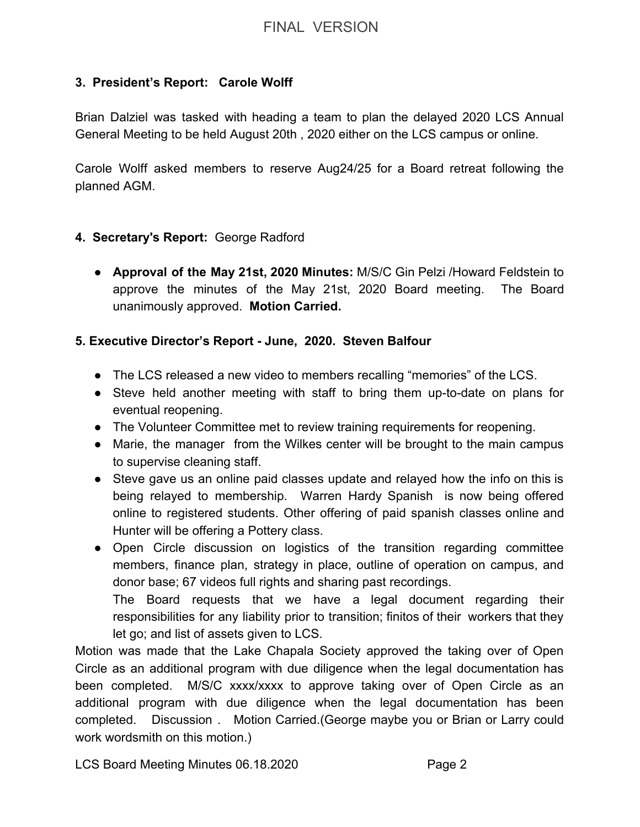## **3. President's Report: Carole Wolff**

Brian Dalziel was tasked with heading a team to plan the delayed 2020 LCS Annual General Meeting to be held August 20th , 2020 either on the LCS campus or online.

Carole Wolff asked members to reserve Aug24/25 for a Board retreat following the planned AGM.

#### **4. Secretary's Report:** George Radford

● **Approval of the May 21st, 2020 Minutes:** M/S/C Gin Pelzi /Howard Feldstein to approve the minutes of the May 21st, 2020 Board meeting. The Board unanimously approved. **Motion Carried.**

## **5. Executive Director's Report - June, 2020. Steven Balfour**

- The LCS released a new video to members recalling "memories" of the LCS.
- Steve held another meeting with staff to bring them up-to-date on plans for eventual reopening.
- The Volunteer Committee met to review training requirements for reopening.
- Marie, the manager from the Wilkes center will be brought to the main campus to supervise cleaning staff.
- Steve gave us an online paid classes update and relayed how the info on this is being relayed to membership. Warren Hardy Spanish is now being offered online to registered students. Other offering of paid spanish classes online and Hunter will be offering a Pottery class.
- Open Circle discussion on logistics of the transition regarding committee members, finance plan, strategy in place, outline of operation on campus, and donor base; 67 videos full rights and sharing past recordings. The Board requests that we have a legal document regarding their responsibilities for any liability prior to transition; finitos of their workers that they

let go; and list of assets given to LCS.

Motion was made that the Lake Chapala Society approved the taking over of Open Circle as an additional program with due diligence when the legal documentation has been completed. M/S/C xxxx/xxxx to approve taking over of Open Circle as an additional program with due diligence when the legal documentation has been completed. Discussion . Motion Carried.(George maybe you or Brian or Larry could work wordsmith on this motion.)

LCS Board Meeting Minutes 06.18.2020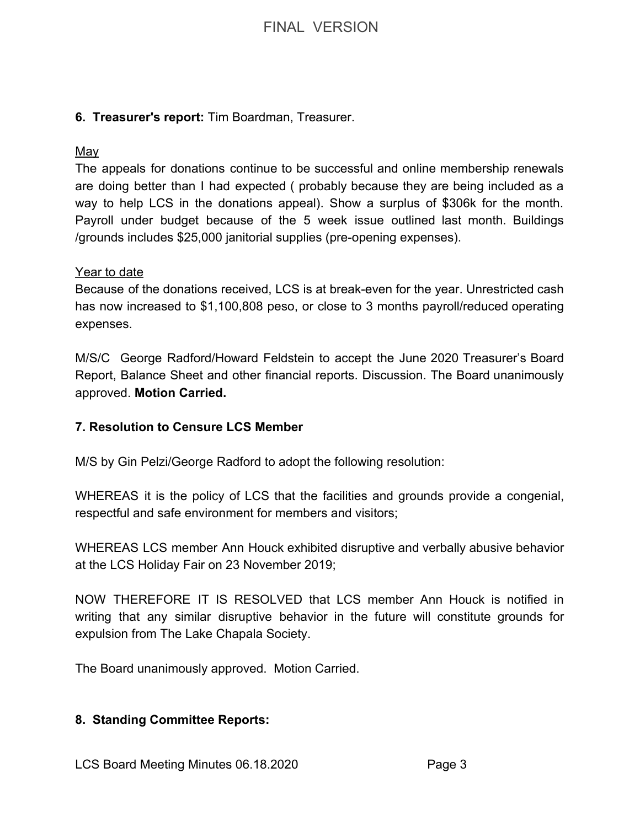#### **6. Treasurer's report:** Tim Boardman, Treasurer.

#### May

The appeals for donations continue to be successful and online membership renewals are doing better than I had expected ( probably because they are being included as a way to help LCS in the donations appeal). Show a surplus of \$306k for the month. Payroll under budget because of the 5 week issue outlined last month. Buildings /grounds includes \$25,000 janitorial supplies (pre-opening expenses).

#### Year to date

Because of the donations received, LCS is at break-even for the year. Unrestricted cash has now increased to \$1,100,808 peso, or close to 3 months payroll/reduced operating expenses.

M/S/C George Radford/Howard Feldstein to accept the June 2020 Treasurer's Board Report, Balance Sheet and other financial reports. Discussion. The Board unanimously approved. **Motion Carried.**

#### **7. Resolution to Censure LCS Member**

M/S by Gin Pelzi/George Radford to adopt the following resolution:

WHEREAS it is the policy of LCS that the facilities and grounds provide a congenial, respectful and safe environment for members and visitors;

WHEREAS LCS member Ann Houck exhibited disruptive and verbally abusive behavior at the LCS Holiday Fair on 23 November 2019;

NOW THEREFORE IT IS RESOLVED that LCS member Ann Houck is notified in writing that any similar disruptive behavior in the future will constitute grounds for expulsion from The Lake Chapala Society.

The Board unanimously approved. Motion Carried.

#### **8. Standing Committee Reports:**

LCS Board Meeting Minutes 06.18.2020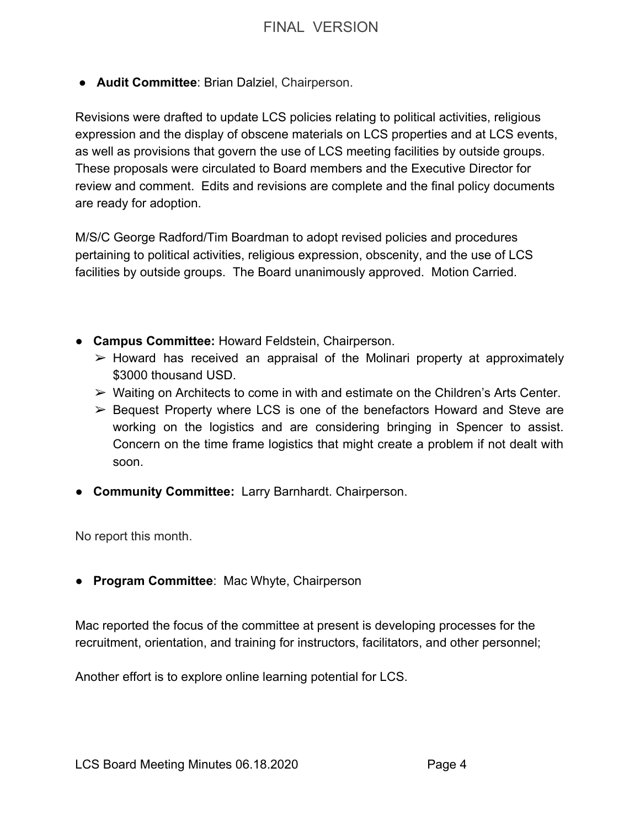● **Audit Committee**: Brian Dalziel, Chairperson.

Revisions were drafted to update LCS policies relating to political activities, religious expression and the display of obscene materials on LCS properties and at LCS events, as well as provisions that govern the use of LCS meeting facilities by outside groups. These proposals were circulated to Board members and the Executive Director for review and comment. Edits and revisions are complete and the final policy documents are ready for adoption.

M/S/C George Radford/Tim Boardman to adopt revised policies and procedures pertaining to political activities, religious expression, obscenity, and the use of LCS facilities by outside groups. The Board unanimously approved. Motion Carried.

- ● **Campus Committee:** Howard Feldstein, Chairperson.
	- $\triangleright$  Howard has received an appraisal of the Molinari property at approximately \$3000 thousand USD.
	- $\triangleright$  Waiting on Architects to come in with and estimate on the Children's Arts Center.
	- $\geq$  Bequest Property where LCS is one of the benefactors Howard and Steve are working on the logistics and are considering bringing in Spencer to assist. Concern on the time frame logistics that might create a problem if not dealt with soon.
- **Community Committee:** Larry Barnhardt. Chairperson.

No report this month.

● **Program Committee**: Mac Whyte, Chairperson

Mac reported the focus of the committee at present is developing processes for the recruitment, orientation, and training for instructors, facilitators, and other personnel;

Another effort is to explore online learning potential for LCS.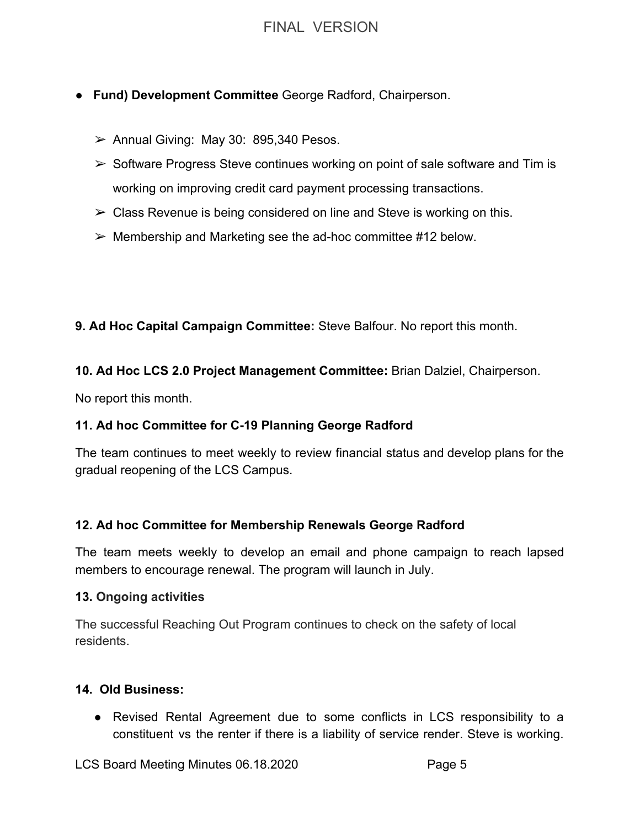- **Fund) Development Committee** George Radford, Chairperson.
	- $\geq$  Annual Giving: May 30: 895,340 Pesos.
	- $\triangleright$  Software Progress Steve continues working on point of sale software and Tim is working on improving credit card payment processing transactions.
	- $\triangleright$  Class Revenue is being considered on line and Steve is working on this.
	- $\triangleright$  Membership and Marketing see the ad-hoc committee #12 below.

**9. Ad Hoc Capital Campaign Committee:** Steve Balfour. No report this month.

#### **10. Ad Hoc LCS 2.0 Project Management Committee:** Brian Dalziel, Chairperson.

No report this month.

#### **11. Ad hoc Committee for C-19 Planning George Radford**

The team continues to meet weekly to review financial status and develop plans for the gradual reopening of the LCS Campus.

#### **12. Ad hoc Committee for Membership Renewals George Radford**

The team meets weekly to develop an email and phone campaign to reach lapsed members to encourage renewal. The program will launch in July.

#### **13. Ongoing activities**

The successful Reaching Out Program continues to check on the safety of local residents.

#### **14. Old Business:**

● Revised Rental Agreement due to some conflicts in LCS responsibility to a constituent vs the renter if there is a liability of service render. Steve is working.

LCS Board Meeting Minutes 06.18.2020